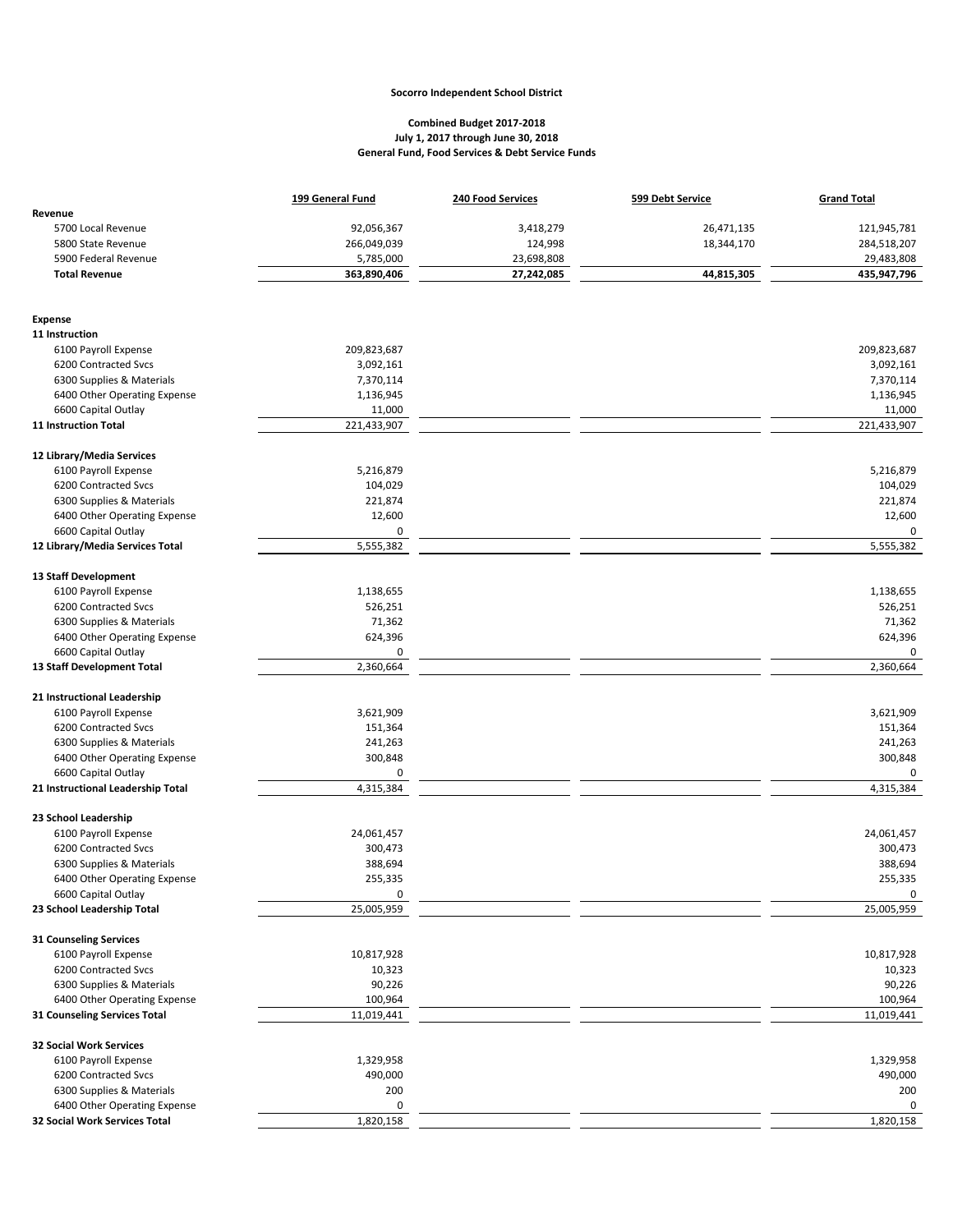## **Socorro Independent School District**

## **Combined Budget 2017-2018 July 1, 2017 through June 30, 2018 General Fund, Food Services & Debt Service Funds**

|                                                          | 199 General Fund        | 240 Food Services | 599 Debt Service | <b>Grand Total</b>      |
|----------------------------------------------------------|-------------------------|-------------------|------------------|-------------------------|
| Revenue                                                  |                         |                   |                  |                         |
| 5700 Local Revenue                                       | 92,056,367              | 3,418,279         | 26,471,135       | 121,945,781             |
| 5800 State Revenue                                       | 266,049,039             | 124,998           | 18,344,170       | 284,518,207             |
| 5900 Federal Revenue                                     | 5,785,000               | 23,698,808        |                  | 29,483,808              |
| <b>Total Revenue</b>                                     | 363,890,406             | 27,242,085        | 44,815,305       | 435,947,796             |
|                                                          |                         |                   |                  |                         |
| <b>Expense</b>                                           |                         |                   |                  |                         |
| 11 Instruction                                           |                         |                   |                  |                         |
| 6100 Payroll Expense                                     | 209,823,687             |                   |                  | 209,823,687             |
| 6200 Contracted Svcs                                     | 3,092,161               |                   |                  | 3,092,161               |
| 6300 Supplies & Materials                                | 7,370,114               |                   |                  | 7,370,114               |
| 6400 Other Operating Expense                             | 1,136,945               |                   |                  | 1,136,945               |
| 6600 Capital Outlay                                      | 11,000                  |                   |                  | 11,000                  |
| <b>11 Instruction Total</b>                              | 221,433,907             |                   |                  | 221,433,907             |
| 12 Library/Media Services                                |                         |                   |                  |                         |
| 6100 Payroll Expense                                     | 5,216,879               |                   |                  | 5,216,879               |
| 6200 Contracted Svcs                                     | 104,029                 |                   |                  | 104,029                 |
| 6300 Supplies & Materials                                | 221,874                 |                   |                  | 221,874                 |
| 6400 Other Operating Expense                             | 12,600                  |                   |                  | 12,600                  |
| 6600 Capital Outlay                                      | 0                       |                   |                  | $\mathbf 0$             |
| 12 Library/Media Services Total                          | 5,555,382               |                   |                  | 5,555,382               |
| 13 Staff Development                                     |                         |                   |                  |                         |
| 6100 Payroll Expense                                     | 1,138,655               |                   |                  | 1,138,655               |
| 6200 Contracted Svcs                                     | 526,251                 |                   |                  | 526,251                 |
| 6300 Supplies & Materials                                | 71,362                  |                   |                  | 71,362                  |
|                                                          | 624,396                 |                   |                  | 624,396                 |
| 6400 Other Operating Expense                             | 0                       |                   |                  | $\mathbf 0$             |
| 6600 Capital Outlay<br>13 Staff Development Total        | 2,360,664               |                   |                  | 2,360,664               |
|                                                          |                         |                   |                  |                         |
| 21 Instructional Leadership                              |                         |                   |                  |                         |
| 6100 Payroll Expense<br>6200 Contracted Svcs             | 3,621,909               |                   |                  | 3,621,909               |
|                                                          | 151,364                 |                   |                  | 151,364                 |
| 6300 Supplies & Materials                                | 241,263                 |                   |                  | 241,263                 |
| 6400 Other Operating Expense                             | 300,848                 |                   |                  | 300,848                 |
| 6600 Capital Outlay<br>21 Instructional Leadership Total | 0<br>4,315,384          |                   |                  | 0<br>4,315,384          |
|                                                          |                         |                   |                  |                         |
| 23 School Leadership                                     |                         |                   |                  |                         |
| 6100 Payroll Expense                                     | 24,061,457              |                   |                  | 24,061,457              |
| 6200 Contracted Svcs                                     | 300,473                 |                   |                  | 300,473                 |
| 6300 Supplies & Materials                                | 388,694                 |                   |                  | 388,694                 |
| 6400 Other Operating Expense                             | 255,335                 |                   |                  | 255,335                 |
| 6600 Capital Outlay<br>23 School Leadership Total        | $\pmb{0}$<br>25,005,959 |                   |                  | $\pmb{0}$<br>25,005,959 |
|                                                          |                         |                   |                  |                         |
| 31 Counseling Services                                   |                         |                   |                  |                         |
| 6100 Payroll Expense                                     | 10,817,928              |                   |                  | 10,817,928              |
| 6200 Contracted Svcs                                     | 10,323                  |                   |                  | 10,323                  |
| 6300 Supplies & Materials                                | 90,226                  |                   |                  | 90,226                  |
| 6400 Other Operating Expense                             | 100,964                 |                   |                  | 100,964                 |
| 31 Counseling Services Total                             | 11,019,441              |                   |                  | 11,019,441              |
| <b>32 Social Work Services</b>                           |                         |                   |                  |                         |
| 6100 Payroll Expense                                     | 1,329,958               |                   |                  | 1,329,958               |
| 6200 Contracted Svcs                                     | 490,000                 |                   |                  | 490,000                 |
| 6300 Supplies & Materials                                | 200                     |                   |                  | 200                     |
| 6400 Other Operating Expense                             | 0                       |                   |                  | 0                       |
| 32 Social Work Services Total                            | 1,820,158               |                   |                  | 1,820,158               |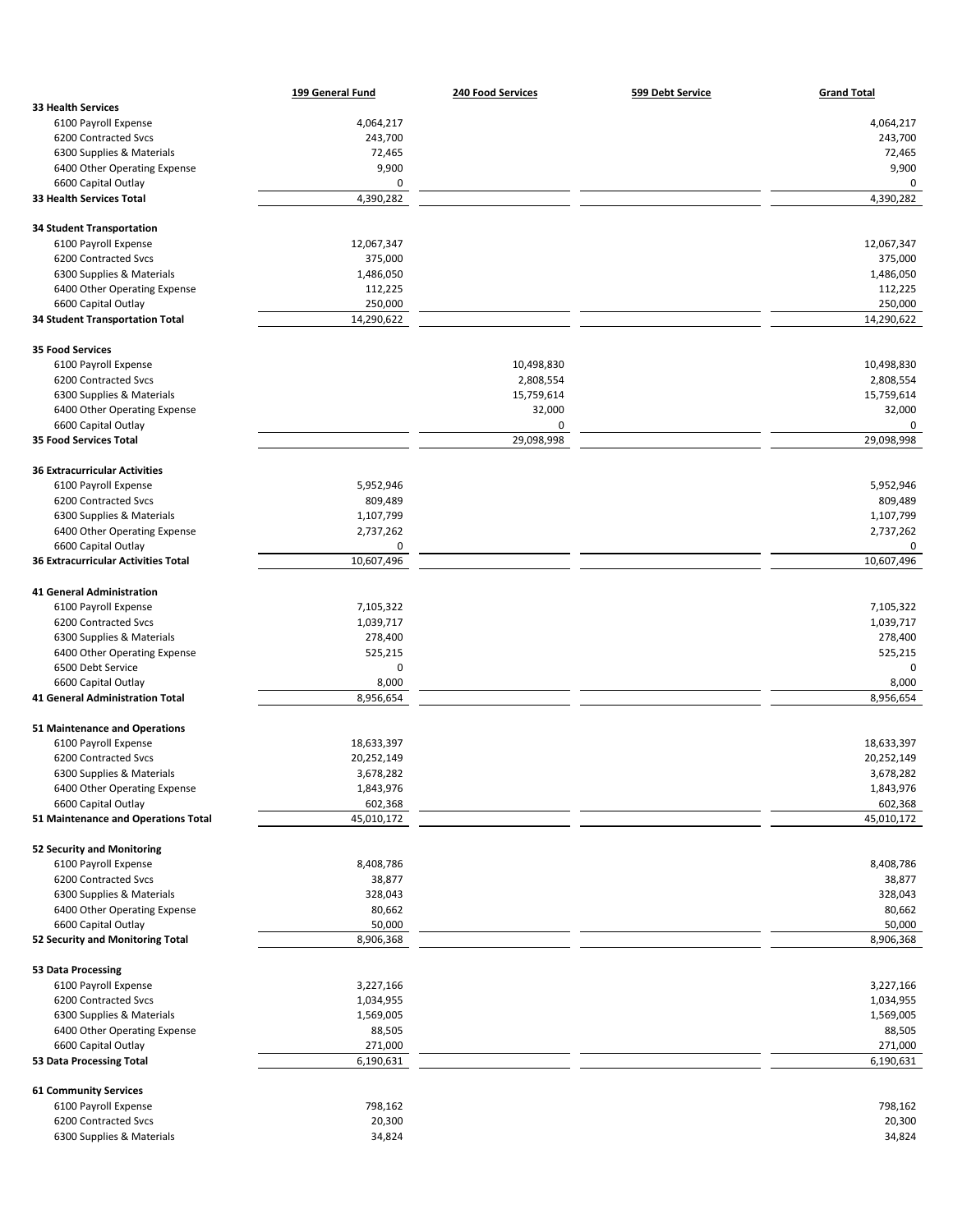|                                                            | 199 General Fund      | 240 Food Services | 599 Debt Service | <b>Grand Total</b>     |
|------------------------------------------------------------|-----------------------|-------------------|------------------|------------------------|
| <b>33 Health Services</b>                                  |                       |                   |                  |                        |
| 6100 Payroll Expense                                       | 4,064,217             |                   |                  | 4,064,217              |
| 6200 Contracted Svcs                                       | 243,700               |                   |                  | 243,700                |
| 6300 Supplies & Materials                                  | 72,465                |                   |                  | 72,465                 |
| 6400 Other Operating Expense                               | 9,900                 |                   |                  | 9,900                  |
| 6600 Capital Outlay                                        | 0                     |                   |                  | 0                      |
| 33 Health Services Total                                   | 4,390,282             |                   |                  | 4,390,282              |
| <b>34 Student Transportation</b>                           |                       |                   |                  |                        |
| 6100 Payroll Expense                                       | 12,067,347            |                   |                  | 12,067,347             |
| 6200 Contracted Svcs                                       | 375,000               |                   |                  | 375,000                |
| 6300 Supplies & Materials                                  | 1,486,050             |                   |                  | 1,486,050              |
| 6400 Other Operating Expense                               | 112,225               |                   |                  | 112,225                |
| 6600 Capital Outlay                                        | 250,000               |                   |                  | 250,000                |
| <b>34 Student Transportation Total</b>                     | 14,290,622            |                   |                  | 14,290,622             |
| <b>35 Food Services</b>                                    |                       |                   |                  |                        |
| 6100 Payroll Expense                                       |                       | 10,498,830        |                  | 10,498,830             |
| 6200 Contracted Svcs                                       |                       | 2,808,554         |                  | 2,808,554              |
| 6300 Supplies & Materials                                  |                       | 15,759,614        |                  | 15,759,614             |
| 6400 Other Operating Expense                               |                       | 32,000            |                  | 32,000                 |
| 6600 Capital Outlay                                        |                       | 0                 |                  | $\pmb{0}$              |
| 35 Food Services Total                                     |                       | 29,098,998        |                  | 29,098,998             |
| <b>36 Extracurricular Activities</b>                       |                       |                   |                  |                        |
| 6100 Payroll Expense                                       | 5,952,946             |                   |                  | 5,952,946              |
| 6200 Contracted Svcs                                       | 809,489               |                   |                  | 809,489                |
| 6300 Supplies & Materials                                  | 1,107,799             |                   |                  | 1,107,799              |
| 6400 Other Operating Expense                               | 2,737,262             |                   |                  | 2,737,262              |
| 6600 Capital Outlay                                        | 0                     |                   |                  | 0                      |
| <b>36 Extracurricular Activities Total</b>                 | 10,607,496            |                   |                  | 10,607,496             |
| <b>41 General Administration</b>                           |                       |                   |                  |                        |
| 6100 Payroll Expense                                       | 7,105,322             |                   |                  | 7,105,322              |
| 6200 Contracted Svcs                                       | 1,039,717             |                   |                  | 1,039,717              |
| 6300 Supplies & Materials                                  | 278,400               |                   |                  | 278,400                |
| 6400 Other Operating Expense                               | 525,215               |                   |                  | 525,215                |
| 6500 Debt Service                                          | 0                     |                   |                  | $\mathbf 0$            |
| 6600 Capital Outlay                                        | 8,000                 |                   |                  | 8,000                  |
| 41 General Administration Total                            | 8,956,654             |                   |                  | 8,956,654              |
|                                                            |                       |                   |                  |                        |
| 51 Maintenance and Operations                              |                       |                   |                  |                        |
| 6100 Payroll Expense                                       | 18,633,397            |                   |                  | 18,633,397             |
| 6200 Contracted Svcs                                       | 20,252,149            |                   |                  | 20,252,149             |
| 6300 Supplies & Materials                                  | 3,678,282             |                   |                  | 3,678,282<br>1,843,976 |
| 6400 Other Operating Expense                               | 1,843,976             |                   |                  | 602,368                |
| 6600 Capital Outlay<br>51 Maintenance and Operations Total | 602,368<br>45,010,172 |                   |                  | 45,010,172             |
|                                                            |                       |                   |                  |                        |
| 52 Security and Monitoring                                 |                       |                   |                  |                        |
| 6100 Payroll Expense                                       | 8,408,786             |                   |                  | 8,408,786              |
| 6200 Contracted Svcs                                       | 38,877                |                   |                  | 38,877                 |
| 6300 Supplies & Materials                                  | 328,043               |                   |                  | 328,043                |
| 6400 Other Operating Expense                               | 80,662                |                   |                  | 80,662                 |
| 6600 Capital Outlay                                        | 50,000<br>8,906,368   |                   |                  | 50,000<br>8,906,368    |
| 52 Security and Monitoring Total                           |                       |                   |                  |                        |
| 53 Data Processing                                         |                       |                   |                  |                        |
| 6100 Payroll Expense                                       | 3,227,166             |                   |                  | 3,227,166              |
| 6200 Contracted Svcs                                       | 1,034,955             |                   |                  | 1,034,955              |
| 6300 Supplies & Materials                                  | 1,569,005             |                   |                  | 1,569,005              |
| 6400 Other Operating Expense                               | 88,505                |                   |                  | 88,505                 |
| 6600 Capital Outlay                                        | 271,000               |                   |                  | 271,000                |
| 53 Data Processing Total                                   | 6,190,631             |                   |                  | 6,190,631              |
| <b>61 Community Services</b>                               |                       |                   |                  |                        |
| 6100 Payroll Expense                                       | 798,162               |                   |                  | 798,162                |
| 6200 Contracted Svcs                                       | 20,300                |                   |                  | 20,300                 |
| 6300 Supplies & Materials                                  | 34,824                |                   |                  | 34,824                 |